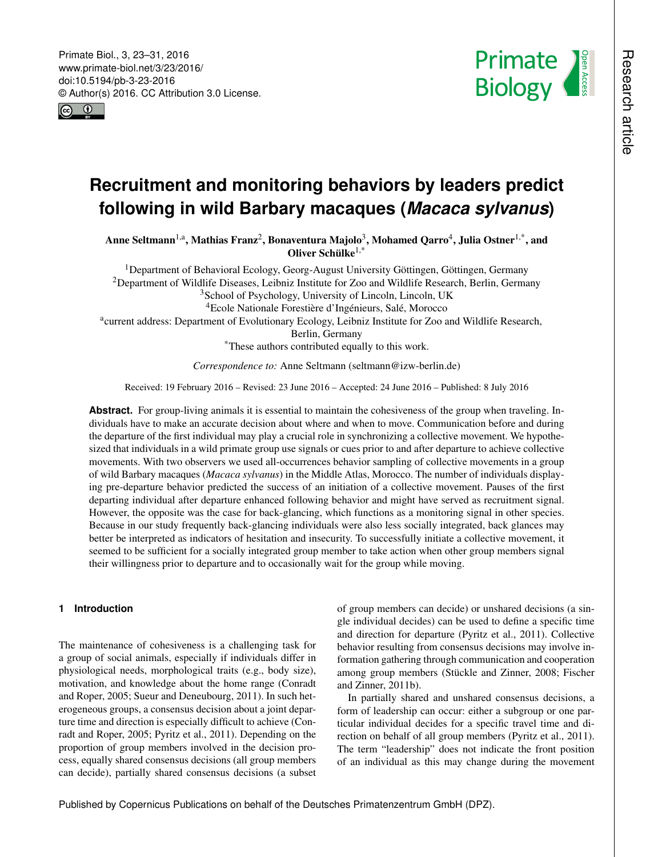<span id="page-0-1"></span>



# **Recruitment and monitoring behaviors by leaders predict following in wild Barbary macaques (***Macaca sylvanus***)**

Anne Seltmann<sup>[1,a](#page-0-0)</sup>, Mathias Franz<sup>[2](#page-0-0)</sup>, Bonaventura Majolo<sup>[3](#page-0-0)</sup>, Mohamed Qarro<sup>[4](#page-0-0)</sup>, Julia Ostner<sup>[1,\\*](#page-0-0)</sup>, and Oliver Schülke $1,$ \*

<sup>1</sup>Department of Behavioral Ecology, Georg-August University Göttingen, Göttingen, Germany <sup>2</sup>Department of Wildlife Diseases, Leibniz Institute for Zoo and Wildlife Research, Berlin, Germany

<sup>3</sup>School of Psychology, University of Lincoln, Lincoln, UK

<sup>4</sup>Ecole Nationale Forestière d'Ingénieurs, Salé, Morocco

<sup>a</sup>current address: Department of Evolutionary Ecology, Leibniz Institute for Zoo and Wildlife Research,

Berlin, Germany

\*These authors contributed equally to this work.

*Correspondence to:* Anne Seltmann (seltmann@izw-berlin.de)

Received: 19 February 2016 – Revised: 23 June 2016 – Accepted: 24 June 2016 – Published: 8 July 2016

**Abstract.** For group-living animals it is essential to maintain the cohesiveness of the group when traveling. Individuals have to make an accurate decision about where and when to move. Communication before and during the departure of the first individual may play a crucial role in synchronizing a collective movement. We hypothesized that individuals in a wild primate group use signals or cues prior to and after departure to achieve collective movements. With two observers we used all-occurrences behavior sampling of collective movements in a group of wild Barbary macaques (*Macaca sylvanus*) in the Middle Atlas, Morocco. The number of individuals displaying pre-departure behavior predicted the success of an initiation of a collective movement. Pauses of the first departing individual after departure enhanced following behavior and might have served as recruitment signal. However, the opposite was the case for back-glancing, which functions as a monitoring signal in other species. Because in our study frequently back-glancing individuals were also less socially integrated, back glances may better be interpreted as indicators of hesitation and insecurity. To successfully initiate a collective movement, it seemed to be sufficient for a socially integrated group member to take action when other group members signal their willingness prior to departure and to occasionally wait for the group while moving.

# <span id="page-0-0"></span>**1 Introduction**

The maintenance of cohesiveness is a challenging task for a group of social animals, especially if individuals differ in physiological needs, morphological traits (e.g., body size), motivation, and knowledge about the home range (Conradt and Roper, 2005; Sueur and Deneubourg, 2011). In such heterogeneous groups, a consensus decision about a joint departure time and direction is especially difficult to achieve (Conradt and Roper, 2005; Pyritz et al., 2011). Depending on the proportion of group members involved in the decision process, equally shared consensus decisions (all group members can decide), partially shared consensus decisions (a subset of group members can decide) or unshared decisions (a single individual decides) can be used to define a specific time and direction for departure (Pyritz et al., 2011). Collective behavior resulting from consensus decisions may involve information gathering through communication and cooperation among group members (Stückle and Zinner, 2008; Fischer and Zinner, 2011b).

In partially shared and unshared consensus decisions, a form of leadership can occur: either a subgroup or one particular individual decides for a specific travel time and direction on behalf of all group members (Pyritz et al., 2011). The term "leadership" does not indicate the front position of an individual as this may change during the movement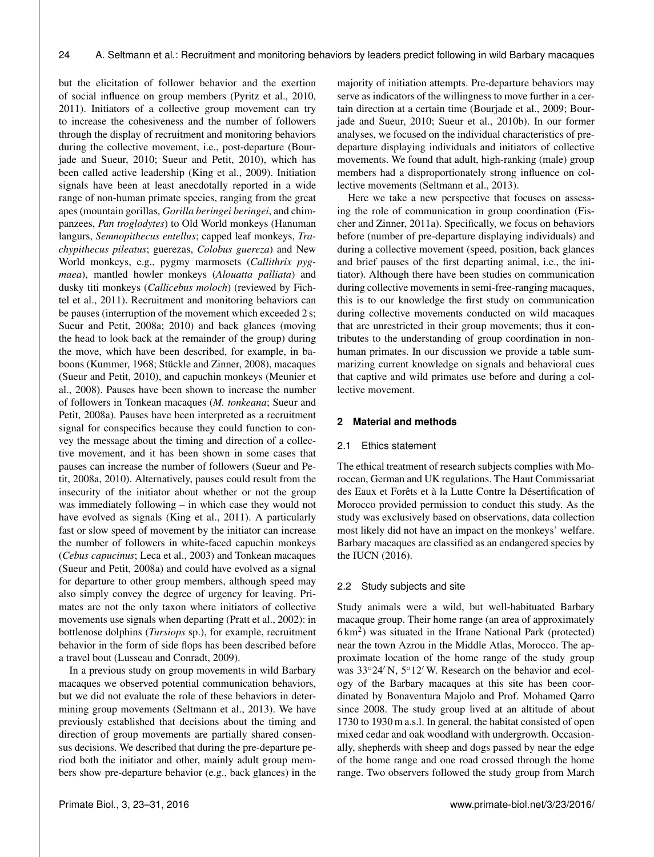but the elicitation of follower behavior and the exertion of social influence on group members (Pyritz et al., 2010, 2011). Initiators of a collective group movement can try to increase the cohesiveness and the number of followers through the display of recruitment and monitoring behaviors during the collective movement, i.e., post-departure (Bourjade and Sueur, 2010; Sueur and Petit, 2010), which has been called active leadership (King et al., 2009). Initiation signals have been at least anecdotally reported in a wide range of non-human primate species, ranging from the great apes (mountain gorillas, *Gorilla beringei beringei*, and chimpanzees, *Pan troglodytes*) to Old World monkeys (Hanuman langurs, *Semnopithecus entellus*; capped leaf monkeys, *Trachypithecus pileatus*; guerezas, *Colobus guereza*) and New World monkeys, e.g., pygmy marmosets (*Callithrix pygmaea*), mantled howler monkeys (*Alouatta palliata*) and dusky titi monkeys (*Callicebus moloch*) (reviewed by Fichtel et al., 2011). Recruitment and monitoring behaviors can be pauses (interruption of the movement which exceeded 2 s; Sueur and Petit, 2008a; 2010) and back glances (moving the head to look back at the remainder of the group) during the move, which have been described, for example, in baboons (Kummer, 1968; Stückle and Zinner, 2008), macaques (Sueur and Petit, 2010), and capuchin monkeys (Meunier et al., 2008). Pauses have been shown to increase the number of followers in Tonkean macaques (*M. tonkeana*; Sueur and Petit, 2008a). Pauses have been interpreted as a recruitment signal for conspecifics because they could function to convey the message about the timing and direction of a collective movement, and it has been shown in some cases that pauses can increase the number of followers (Sueur and Petit, 2008a, 2010). Alternatively, pauses could result from the insecurity of the initiator about whether or not the group was immediately following – in which case they would not have evolved as signals (King et al., 2011). A particularly fast or slow speed of movement by the initiator can increase the number of followers in white-faced capuchin monkeys (*Cebus capucinus*; Leca et al., 2003) and Tonkean macaques (Sueur and Petit, 2008a) and could have evolved as a signal for departure to other group members, although speed may also simply convey the degree of urgency for leaving. Primates are not the only taxon where initiators of collective movements use signals when departing (Pratt et al., 2002): in bottlenose dolphins (*Tursiops* sp.), for example, recruitment behavior in the form of side flops has been described before a travel bout (Lusseau and Conradt, 2009).

In a previous study on group movements in wild Barbary macaques we observed potential communication behaviors, but we did not evaluate the role of these behaviors in determining group movements (Seltmann et al., 2013). We have previously established that decisions about the timing and direction of group movements are partially shared consensus decisions. We described that during the pre-departure period both the initiator and other, mainly adult group members show pre-departure behavior (e.g., back glances) in the majority of initiation attempts. Pre-departure behaviors may serve as indicators of the willingness to move further in a certain direction at a certain time (Bourjade et al., 2009; Bourjade and Sueur, 2010; Sueur et al., 2010b). In our former analyses, we focused on the individual characteristics of predeparture displaying individuals and initiators of collective movements. We found that adult, high-ranking (male) group members had a disproportionately strong influence on collective movements (Seltmann et al., 2013).

Here we take a new perspective that focuses on assessing the role of communication in group coordination (Fischer and Zinner, 2011a). Specifically, we focus on behaviors before (number of pre-departure displaying individuals) and during a collective movement (speed, position, back glances and brief pauses of the first departing animal, i.e., the initiator). Although there have been studies on communication during collective movements in semi-free-ranging macaques, this is to our knowledge the first study on communication during collective movements conducted on wild macaques that are unrestricted in their group movements; thus it contributes to the understanding of group coordination in nonhuman primates. In our discussion we provide a table summarizing current knowledge on signals and behavioral cues that captive and wild primates use before and during a collective movement.

# **2 Material and methods**

#### 2.1 Ethics statement

The ethical treatment of research subjects complies with Moroccan, German and UK regulations. The Haut Commissariat des Eaux et Forêts et à la Lutte Contre la Désertification of Morocco provided permission to conduct this study. As the study was exclusively based on observations, data collection most likely did not have an impact on the monkeys' welfare. Barbary macaques are classified as an endangered species by the IUCN (2016).

# 2.2 Study subjects and site

Study animals were a wild, but well-habituated Barbary macaque group. Their home range (an area of approximately 6 km<sup>2</sup>) was situated in the Ifrane National Park (protected) near the town Azrou in the Middle Atlas, Morocco. The approximate location of the home range of the study group was  $33°24'$  N,  $5°12'$  W. Research on the behavior and ecology of the Barbary macaques at this site has been coordinated by Bonaventura Majolo and Prof. Mohamed Qarro since 2008. The study group lived at an altitude of about 1730 to 1930 m a.s.l. In general, the habitat consisted of open mixed cedar and oak woodland with undergrowth. Occasionally, shepherds with sheep and dogs passed by near the edge of the home range and one road crossed through the home range. Two observers followed the study group from March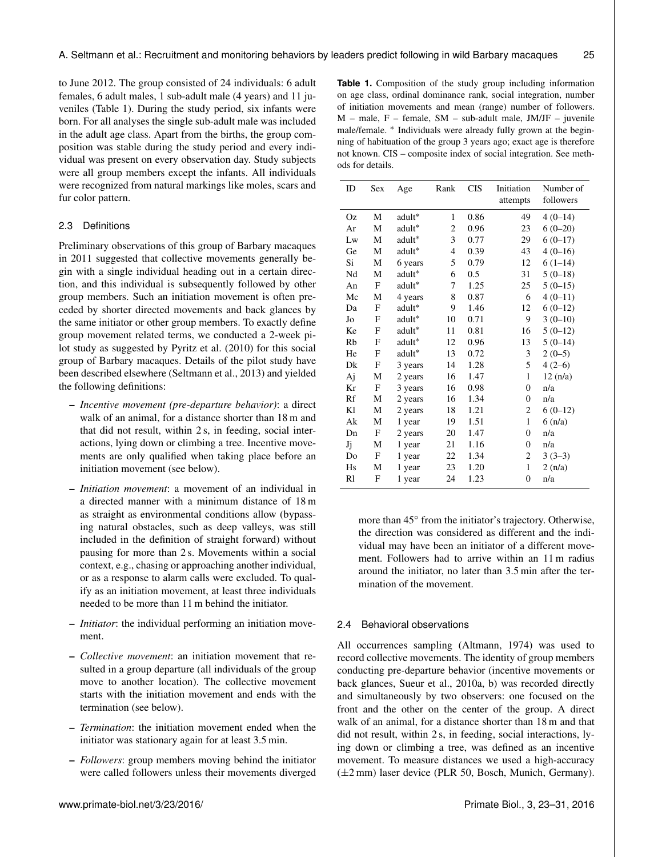to June 2012. The group consisted of 24 individuals: 6 adult females, 6 adult males, 1 sub-adult male (4 years) and 11 juveniles (Table 1). During the study period, six infants were born. For all analyses the single sub-adult male was included in the adult age class. Apart from the births, the group composition was stable during the study period and every individual was present on every observation day. Study subjects were all group members except the infants. All individuals were recognized from natural markings like moles, scars and fur color pattern.

#### 2.3 Definitions

Preliminary observations of this group of Barbary macaques in 2011 suggested that collective movements generally begin with a single individual heading out in a certain direction, and this individual is subsequently followed by other group members. Such an initiation movement is often preceded by shorter directed movements and back glances by the same initiator or other group members. To exactly define group movement related terms, we conducted a 2-week pilot study as suggested by Pyritz et al. (2010) for this social group of Barbary macaques. Details of the pilot study have been described elsewhere (Seltmann et al., 2013) and yielded the following definitions:

- *Incentive movement (pre-departure behavior)*: a direct walk of an animal, for a distance shorter than 18 m and that did not result, within 2 s, in feeding, social interactions, lying down or climbing a tree. Incentive movements are only qualified when taking place before an initiation movement (see below).
- *Initiation movement*: a movement of an individual in a directed manner with a minimum distance of 18 m as straight as environmental conditions allow (bypassing natural obstacles, such as deep valleys, was still included in the definition of straight forward) without pausing for more than 2 s. Movements within a social context, e.g., chasing or approaching another individual, or as a response to alarm calls were excluded. To qualify as an initiation movement, at least three individuals needed to be more than 11 m behind the initiator.
- *Initiator*: the individual performing an initiation movement.
- *Collective movement*: an initiation movement that resulted in a group departure (all individuals of the group move to another location). The collective movement starts with the initiation movement and ends with the termination (see below).
- *Termination*: the initiation movement ended when the initiator was stationary again for at least 3.5 min.
- *Followers*: group members moving behind the initiator were called followers unless their movements diverged

**Table 1.** Composition of the study group including information on age class, ordinal dominance rank, social integration, number of initiation movements and mean (range) number of followers.  $M$  – male,  $F$  – female,  $SM$  – sub-adult male, JM/JF – juvenile male/female. \* Individuals were already fully grown at the beginning of habituation of the group 3 years ago; exact age is therefore not known. CIS – composite index of social integration. See methods for details.

| ID | Sex | Age                | Rank         | <b>CIS</b> | Initiation       | Number of                      |
|----|-----|--------------------|--------------|------------|------------------|--------------------------------|
|    |     |                    |              |            | attempts         | followers                      |
| Oz | M   | adult <sup>*</sup> | $\mathbf{1}$ | 0.86       | 49               | $4(0-14)$                      |
| Ar | M   | adult*             | 2            | 0.96       | 23               | $6(0-20)$                      |
| Lw | M   | adult*             | 3            | 0.77       | 29               | $6(0-17)$                      |
| Ge | M   | adult*             | 4            | 0.39       | 43               | $4(0-16)$                      |
| Si | M   | 6 years            | 5            | 0.79       | 12               | $6(1-14)$                      |
| Nd | М   | adult*             | 6            | 0.5        | 31               | $5(0-18)$                      |
| An | F   | adult*             | 7            | 1.25       | 25               | $5(0-15)$                      |
| Mc | М   | 4 years            | 8            | 0.87       | 6                | $4(0-11)$                      |
| Da | F   | adult*             | 9            | 1.46       | 12               | $6(0-12)$                      |
| Jo | F   | adult*             | 10           | 0.71       | 9                | $3(0-10)$                      |
| Ke | F   | adult*             | 11           | 0.81       | 16               | $5(0-12)$                      |
| Rb | F   | adult*             | 12           | 0.96       | 13               | $5(0-14)$                      |
| He | F   | adult*             | 13           | 0.72       | 3                | $2(0-5)$                       |
| Dk | F   | 3 years            | 14           | 1.28       | 5                | $4(2-6)$                       |
| Aj | M   | 2 years            | 16           | 1.47       | $\mathbf{1}$     | 12(n/a)                        |
| Kr | F   | 3 years            | 16           | 0.98       | $\boldsymbol{0}$ | n/a                            |
| Rf | M   | 2 years            | 16           | 1.34       | $\boldsymbol{0}$ | n/a                            |
| K1 | M   | 2 years            | 18           | 1.21       | 2                | $6(0-12)$                      |
| Ak | M   | 1 year             | 19           | 1.51       | $\mathbf{1}$     | $6 \left( \frac{n}{a} \right)$ |
| Dn | F   | 2 years            | 20           | 1.47       | $\boldsymbol{0}$ | n/a                            |
| Jj | М   | 1 year             | 21           | 1.16       | $\overline{0}$   | n/a                            |
| Do | F   | 1 year             | 22           | 1.34       | 2                | $3(3-3)$                       |
| Hs | М   | 1 year             | 23           | 1.20       | $\mathbf{1}$     | 2(n/a)                         |
| R1 | F   | 1 year             | 24           | 1.23       | $\boldsymbol{0}$ | n/a                            |
|    |     |                    |              |            |                  |                                |

more than 45° from the initiator's trajectory. Otherwise, the direction was considered as different and the individual may have been an initiator of a different movement. Followers had to arrive within an 11 m radius around the initiator, no later than 3.5 min after the termination of the movement.

# 2.4 Behavioral observations

All occurrences sampling (Altmann, 1974) was used to record collective movements. The identity of group members conducting pre-departure behavior (incentive movements or back glances, Sueur et al., 2010a, b) was recorded directly and simultaneously by two observers: one focused on the front and the other on the center of the group. A direct walk of an animal, for a distance shorter than 18 m and that did not result, within 2 s, in feeding, social interactions, lying down or climbing a tree, was defined as an incentive movement. To measure distances we used a high-accuracy (±2 mm) laser device (PLR 50, Bosch, Munich, Germany).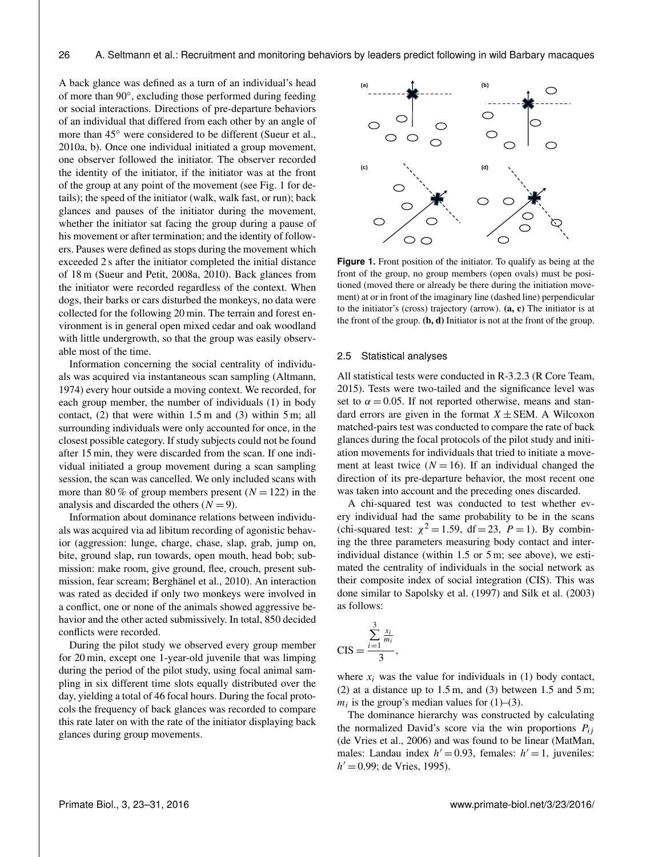A back glance was defined as a turn of an individual's head of more than 90◦ , excluding those performed during feeding or social interactions. Directions of pre-departure behaviors of an individual that differed from each other by an angle of more than 45◦ were considered to be different (Sueur et al., 2010a, b). Once one individual initiated a group movement, one observer followed the initiator. The observer recorded the identity of the initiator, if the initiator was at the front of the group at any point of the movement (see Fig. 1 for details); the speed of the initiator (walk, walk fast, or run); back glances and pauses of the initiator during the movement, whether the initiator sat facing the group during a pause of his movement or after termination; and the identity of followers. Pauses were defined as stops during the movement which exceeded 2 s after the initiator completed the initial distance of 18 m (Sueur and Petit, 2008a, 2010). Back glances from the initiator were recorded regardless of the context. When dogs, their barks or cars disturbed the monkeys, no data were collected for the following 20 min. The terrain and forest environment is in general open mixed cedar and oak woodland with little undergrowth, so that the group was easily observable most of the time.

Information concerning the social centrality of individuals was acquired via instantaneous scan sampling (Altmann, 1974) every hour outside a moving context. We recorded, for each group member, the number of individuals (1) in body contact,  $(2)$  that were within 1.5 m and  $(3)$  within 5 m; all surrounding individuals were only accounted for once, in the closest possible category. If study subjects could not be found after 15 min, they were discarded from the scan. If one individual initiated a group movement during a scan sampling session, the scan was cancelled. We only included scans with more than 80 % of group members present  $(N = 122)$  in the analysis and discarded the others  $(N = 9)$ .

Information about dominance relations between individuals was acquired via ad libitum recording of agonistic behavior (aggression: lunge, charge, chase, slap, grab, jump on, bite, ground slap, run towards, open mouth, head bob; submission: make room, give ground, flee, crouch, present submission, fear scream; Berghänel et al., 2010). An interaction was rated as decided if only two monkeys were involved in a conflict, one or none of the animals showed aggressive behavior and the other acted submissively. In total, 850 decided conflicts were recorded.

During the pilot study we observed every group member for 20 min, except one 1-year-old juvenile that was limping during the period of the pilot study, using focal animal sampling in six different time slots equally distributed over the day, yielding a total of 46 focal hours. During the focal protocols the frequency of back glances was recorded to compare this rate later on with the rate of the initiator displaying back glances during group movements.



**Figure 1.** Front position of the initiator. To qualify as being at the front of the group, no group members (open ovals) must be positioned (moved there or already be there during the initiation movement) at or in front of the imaginary line (dashed line) perpendicular to the initiator's (cross) trajectory (arrow). (a, c) The initiator is at the front of the group.  $(b, d)$  Initiator is not at the front of the group.

#### 2.5 Statistical analyses

All statistical tests were conducted in R-3.2.3 (R Core Team, 2015). Tests were two-tailed and the significance level was set to  $\alpha = 0.05$ . If not reported otherwise, means and standard errors are given in the format  $X \pm SEM$ . A Wilcoxon matched-pairs test was conducted to compare the rate of back glances during the focal protocols of the pilot study and initiation movements for individuals that tried to initiate a movement at least twice  $(N = 16)$ . If an individual changed the direction of its pre-departure behavior, the most recent one was taken into account and the preceding ones discarded.

A chi-squared test was conducted to test whether every individual had the same probability to be in the scans (chi-squared test:  $\chi^2 = 1.59$ , df = 23, P = 1). By combining the three parameters measuring body contact and interindividual distance (within 1.5 or 5 m; see above), we estimated the centrality of individuals in the social network as their composite index of social integration (CIS). This was done similar to Sapolsky et al. (1997) and Silk et al. (2003) as follows:

$$
\text{CIS} = \frac{\sum_{i=1}^{3} \frac{x_i}{m_i}}{3},
$$

where  $x_i$  was the value for individuals in (1) body contact, (2) at a distance up to  $1.5$  m, and (3) between  $1.5$  and  $5$  m;  $m_i$  is the group's median values for (1)–(3).

The dominance hierarchy was constructed by calculating the normalized David's score via the win proportions  $P_{ij}$ (de Vries et al., 2006) and was found to be linear (MatMan, males: Landau index  $h' = 0.93$ , females:  $h' = 1$ , juveniles:  $h' = 0.99$ ; de Vries, 1995).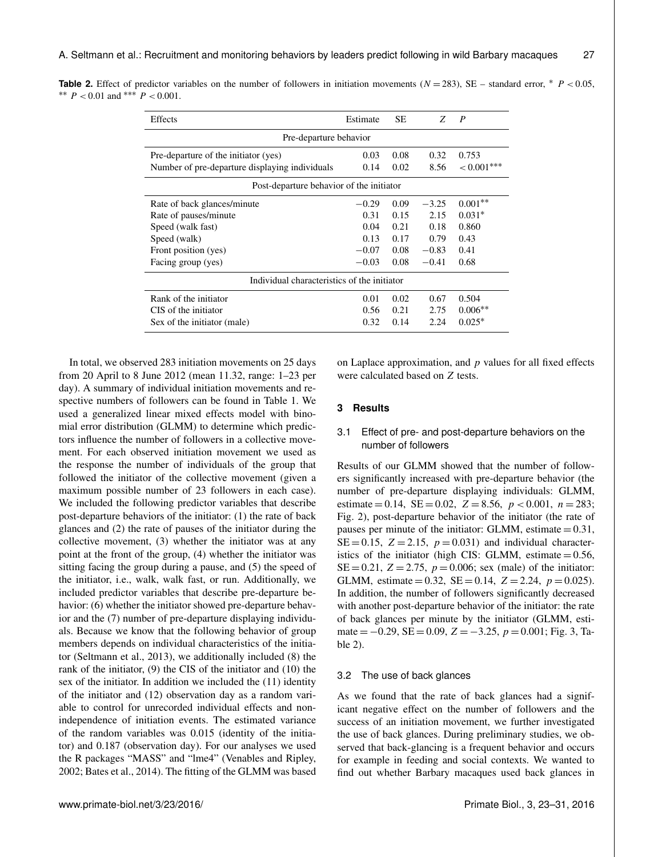|  |                                     |  |  |  | <b>Table 2.</b> Effect of predictor variables on the number of followers in initiation movements ( $N = 283$ ), SE – standard error, * $P < 0.05$ , |  |  |  |  |
|--|-------------------------------------|--|--|--|-----------------------------------------------------------------------------------------------------------------------------------------------------|--|--|--|--|
|  | ** $P < 0.01$ and *** $P < 0.001$ . |  |  |  |                                                                                                                                                     |  |  |  |  |

| Estimate                                    | <b>SE</b>     | Z       | $\boldsymbol{P}$ |  |  |  |  |  |  |
|---------------------------------------------|---------------|---------|------------------|--|--|--|--|--|--|
| Pre-departure behavior                      |               |         |                  |  |  |  |  |  |  |
| 0.03                                        | 0.08          | 0.32    | 0.753            |  |  |  |  |  |  |
| 0.14                                        | $< 0.001$ *** |         |                  |  |  |  |  |  |  |
| Post-departure behavior of the initiator    |               |         |                  |  |  |  |  |  |  |
| $-0.29$                                     | 0.09          | $-3.25$ | $0.001**$        |  |  |  |  |  |  |
| 0.31                                        | 0.15          | 2.15    | $0.031*$         |  |  |  |  |  |  |
| 0.04                                        | 0.21          | 0.18    | 0.860            |  |  |  |  |  |  |
| 0.13                                        | 0.17          | 0.79    | 0.43             |  |  |  |  |  |  |
| $-0.07$                                     | 0.08          | $-0.83$ | 0.41             |  |  |  |  |  |  |
| $-0.03$                                     | 0.08          | $-0.41$ | 0.68             |  |  |  |  |  |  |
| Individual characteristics of the initiator |               |         |                  |  |  |  |  |  |  |
| 0.01                                        | 0.02          | 0.67    | 0.504            |  |  |  |  |  |  |
| 0.56                                        | 0.21          | 2.75    | $0.006**$        |  |  |  |  |  |  |
| 0.32                                        | 0.14          | 2.24    | $0.025*$         |  |  |  |  |  |  |
|                                             |               | 0.02    | 8.56             |  |  |  |  |  |  |

In total, we observed 283 initiation movements on 25 days from 20 April to 8 June 2012 (mean 11.32, range: 1–23 per day). A summary of individual initiation movements and respective numbers of followers can be found in Table 1. We used a generalized linear mixed effects model with binomial error distribution (GLMM) to determine which predictors influence the number of followers in a collective movement. For each observed initiation movement we used as the response the number of individuals of the group that followed the initiator of the collective movement (given a maximum possible number of 23 followers in each case). We included the following predictor variables that describe post-departure behaviors of the initiator: (1) the rate of back glances and (2) the rate of pauses of the initiator during the collective movement, (3) whether the initiator was at any point at the front of the group, (4) whether the initiator was sitting facing the group during a pause, and (5) the speed of the initiator, i.e., walk, walk fast, or run. Additionally, we included predictor variables that describe pre-departure behavior: (6) whether the initiator showed pre-departure behavior and the (7) number of pre-departure displaying individuals. Because we know that the following behavior of group members depends on individual characteristics of the initiator (Seltmann et al., 2013), we additionally included (8) the rank of the initiator, (9) the CIS of the initiator and (10) the sex of the initiator. In addition we included the (11) identity of the initiator and (12) observation day as a random variable to control for unrecorded individual effects and nonindependence of initiation events. The estimated variance of the random variables was 0.015 (identity of the initiator) and 0.187 (observation day). For our analyses we used the R packages "MASS" and "lme4" (Venables and Ripley, 2002; Bates et al., 2014). The fitting of the GLMM was based

on Laplace approximation, and  $p$  values for all fixed effects were calculated based on Z tests.

# **3 Results**

# 3.1 Effect of pre- and post-departure behaviors on the number of followers

Results of our GLMM showed that the number of followers significantly increased with pre-departure behavior (the number of pre-departure displaying individuals: GLMM, estimate = 0.14, SE = 0.02, Z = 8.56,  $p < 0.001$ ,  $n = 283$ ; Fig. 2), post-departure behavior of the initiator (the rate of pauses per minute of the initiator: GLMM, estimate  $= 0.31$ ,  $SE = 0.15$ ,  $Z = 2.15$ ,  $p = 0.031$ ) and individual characteristics of the initiator (high CIS: GLMM, estimate  $= 0.56$ ,  $SE = 0.21$ ,  $Z = 2.75$ ,  $p = 0.006$ ; sex (male) of the initiator: GLMM, estimate  $= 0.32$ , SE  $= 0.14$ , Z  $= 2.24$ ,  $p = 0.025$ ). In addition, the number of followers significantly decreased with another post-departure behavior of the initiator: the rate of back glances per minute by the initiator (GLMM, estimate =  $-0.29$ , SE = 0.09, Z =  $-3.25$ , p = 0.001; Fig. 3, Table 2).

## 3.2 The use of back glances

As we found that the rate of back glances had a significant negative effect on the number of followers and the success of an initiation movement, we further investigated the use of back glances. During preliminary studies, we observed that back-glancing is a frequent behavior and occurs for example in feeding and social contexts. We wanted to find out whether Barbary macaques used back glances in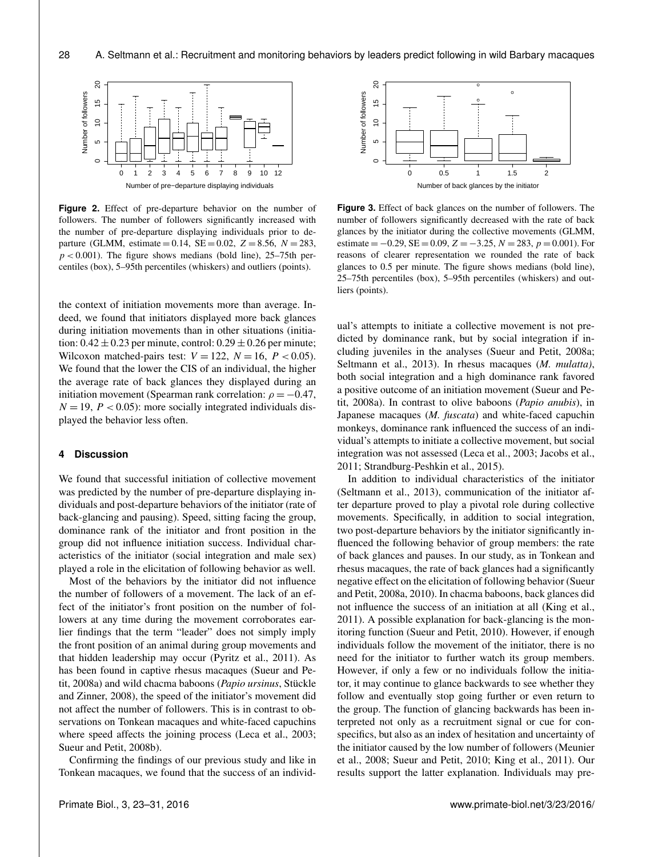

**Figure 2.** Effect of pre-departure behavior on the number of followers. The number of followers significantly increased with the number of pre-departure displaying individuals prior to departure (GLMM, estimate = 0.14, SE = 0.02, Z = 8.56,  $N = 283$ ,  $p < 0.001$ ). The figure shows medians (bold line), 25–75th percentiles (box), 5–95th percentiles (whiskers) and outliers (points).

the context of initiation movements more than average. Indeed, we found that initiators displayed more back glances during initiation movements than in other situations (initiation:  $0.42 \pm 0.23$  per minute, control:  $0.29 \pm 0.26$  per minute; Wilcoxon matched-pairs test:  $V = 122$ ,  $N = 16$ ,  $P < 0.05$ ). We found that the lower the CIS of an individual, the higher the average rate of back glances they displayed during an initiation movement (Spearman rank correlation:  $\rho = -0.47$ ,  $N = 19$ ,  $P < 0.05$ ): more socially integrated individuals displayed the behavior less often.

# **4 Discussion**

We found that successful initiation of collective movement was predicted by the number of pre-departure displaying individuals and post-departure behaviors of the initiator (rate of back-glancing and pausing). Speed, sitting facing the group, dominance rank of the initiator and front position in the group did not influence initiation success. Individual characteristics of the initiator (social integration and male sex) played a role in the elicitation of following behavior as well.

Most of the behaviors by the initiator did not influence the number of followers of a movement. The lack of an effect of the initiator's front position on the number of followers at any time during the movement corroborates earlier findings that the term "leader" does not simply imply the front position of an animal during group movements and that hidden leadership may occur (Pyritz et al., 2011). As has been found in captive rhesus macaques (Sueur and Petit, 2008a) and wild chacma baboons (*Papio ursinus*, Stückle and Zinner, 2008), the speed of the initiator's movement did not affect the number of followers. This is in contrast to observations on Tonkean macaques and white-faced capuchins where speed affects the joining process (Leca et al., 2003; Sueur and Petit, 2008b).

Confirming the findings of our previous study and like in Tonkean macaques, we found that the success of an individ-



**Figure 3.** Effect of back glances on the number of followers. The number of followers significantly decreased with the rate of back glances by the initiator during the collective movements (GLMM, estimate =  $-0.29$ , SE = 0.09, Z =  $-3.25$ , N = 283, p = 0.001). For reasons of clearer representation we rounded the rate of back glances to 0.5 per minute. The figure shows medians (bold line), 25–75th percentiles (box), 5–95th percentiles (whiskers) and outliers (points).

ual's attempts to initiate a collective movement is not predicted by dominance rank, but by social integration if including juveniles in the analyses (Sueur and Petit, 2008a; Seltmann et al., 2013). In rhesus macaques (*M. mulatta)*, both social integration and a high dominance rank favored a positive outcome of an initiation movement (Sueur and Petit, 2008a). In contrast to olive baboons (*Papio anubis*), in Japanese macaques (*M. fuscata*) and white-faced capuchin monkeys, dominance rank influenced the success of an individual's attempts to initiate a collective movement, but social integration was not assessed (Leca et al., 2003; Jacobs et al., 2011; Strandburg-Peshkin et al., 2015).

In addition to individual characteristics of the initiator (Seltmann et al., 2013), communication of the initiator after departure proved to play a pivotal role during collective movements. Specifically, in addition to social integration, two post-departure behaviors by the initiator significantly influenced the following behavior of group members: the rate of back glances and pauses. In our study, as in Tonkean and rhesus macaques, the rate of back glances had a significantly negative effect on the elicitation of following behavior (Sueur and Petit, 2008a, 2010). In chacma baboons, back glances did not influence the success of an initiation at all (King et al., 2011). A possible explanation for back-glancing is the monitoring function (Sueur and Petit, 2010). However, if enough individuals follow the movement of the initiator, there is no need for the initiator to further watch its group members. However, if only a few or no individuals follow the initiator, it may continue to glance backwards to see whether they follow and eventually stop going further or even return to the group. The function of glancing backwards has been interpreted not only as a recruitment signal or cue for conspecifics, but also as an index of hesitation and uncertainty of the initiator caused by the low number of followers (Meunier et al., 2008; Sueur and Petit, 2010; King et al., 2011). Our results support the latter explanation. Individuals may pre-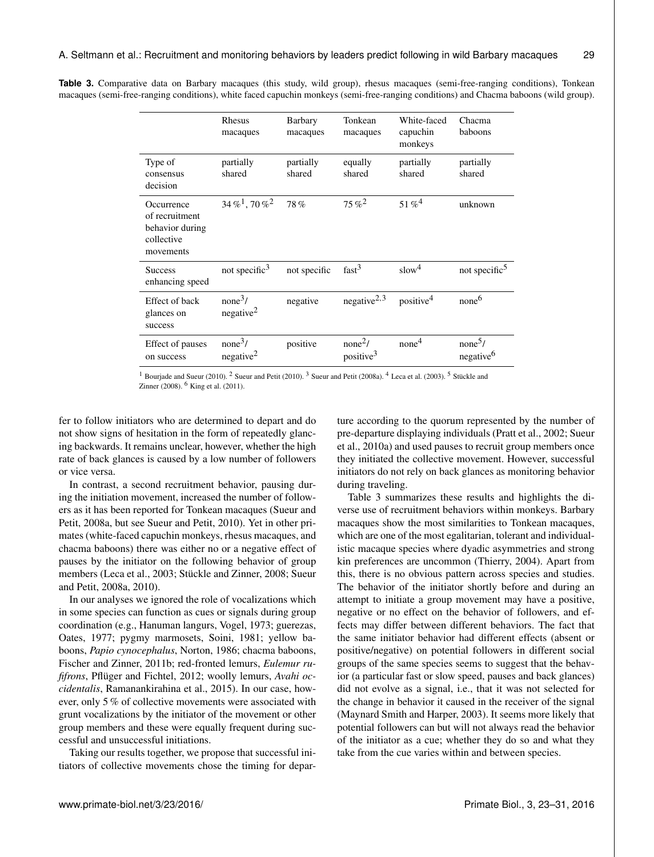|                                                                            | Rhesus<br>macaques                           | Barbary<br>macaques | Tonkean<br>macaques                          | White-faced<br>capuchin<br>monkeys | Chacma<br>baboons                            |
|----------------------------------------------------------------------------|----------------------------------------------|---------------------|----------------------------------------------|------------------------------------|----------------------------------------------|
| Type of<br>consensus<br>decision                                           | partially<br>shared                          | partially<br>shared | equally<br>shared                            | partially<br>shared                | partially<br>shared                          |
| Occurrence<br>of recruitment<br>behavior during<br>collective<br>movements | $34\,\%^1$ , 70 $\%^2$                       | 78%                 | $75\%^2$                                     | 51 % $4$                           | unknown                                      |
| <b>Success</b><br>enhancing speed                                          | not specific <sup>3</sup>                    | not specific        | fast <sup>3</sup>                            | slow <sup>4</sup>                  | not specific <sup>5</sup>                    |
| Effect of back<br>glances on<br>success                                    | none <sup>3</sup> /<br>negative <sup>2</sup> | negative            | negative $2,3$                               | positive <sup>4</sup>              | none <sup>6</sup>                            |
| Effect of pauses<br>on success                                             | none <sup>3</sup> /<br>negative <sup>2</sup> | positive            | none <sup>2</sup> /<br>positive <sup>3</sup> | none <sup>4</sup>                  | none <sup>5</sup> /<br>negative <sup>6</sup> |

**Table 3.** Comparative data on Barbary macaques (this study, wild group), rhesus macaques (semi-free-ranging conditions), Tonkean macaques (semi-free-ranging conditions), white faced capuchin monkeys (semi-free-ranging conditions) and Chacma baboons (wild group).

<sup>1</sup> Bourjade and Sueur (2010). <sup>2</sup> Sueur and Petit (2010). <sup>3</sup> Sueur and Petit (2008a). <sup>4</sup> Leca et al. (2003). <sup>5</sup> Stückle and Zinner (2008). <sup>6</sup> King et al. (2011).

fer to follow initiators who are determined to depart and do not show signs of hesitation in the form of repeatedly glancing backwards. It remains unclear, however, whether the high rate of back glances is caused by a low number of followers or vice versa.

In contrast, a second recruitment behavior, pausing during the initiation movement, increased the number of followers as it has been reported for Tonkean macaques (Sueur and Petit, 2008a, but see Sueur and Petit, 2010). Yet in other primates (white-faced capuchin monkeys, rhesus macaques, and chacma baboons) there was either no or a negative effect of pauses by the initiator on the following behavior of group members (Leca et al., 2003; Stückle and Zinner, 2008; Sueur and Petit, 2008a, 2010).

In our analyses we ignored the role of vocalizations which in some species can function as cues or signals during group coordination (e.g., Hanuman langurs, Vogel, 1973; guerezas, Oates, 1977; pygmy marmosets, Soini, 1981; yellow baboons, *Papio cynocephalus*, Norton, 1986; chacma baboons, Fischer and Zinner, 2011b; red-fronted lemurs, *Eulemur rufifrons*, Pflüger and Fichtel, 2012; woolly lemurs, *Avahi occidentalis*, Ramanankirahina et al., 2015). In our case, however, only 5 % of collective movements were associated with grunt vocalizations by the initiator of the movement or other group members and these were equally frequent during successful and unsuccessful initiations.

Taking our results together, we propose that successful initiators of collective movements chose the timing for departure according to the quorum represented by the number of pre-departure displaying individuals (Pratt et al., 2002; Sueur et al., 2010a) and used pauses to recruit group members once they initiated the collective movement. However, successful initiators do not rely on back glances as monitoring behavior during traveling.

Table 3 summarizes these results and highlights the diverse use of recruitment behaviors within monkeys. Barbary macaques show the most similarities to Tonkean macaques, which are one of the most egalitarian, tolerant and individualistic macaque species where dyadic asymmetries and strong kin preferences are uncommon (Thierry, 2004). Apart from this, there is no obvious pattern across species and studies. The behavior of the initiator shortly before and during an attempt to initiate a group movement may have a positive, negative or no effect on the behavior of followers, and effects may differ between different behaviors. The fact that the same initiator behavior had different effects (absent or positive/negative) on potential followers in different social groups of the same species seems to suggest that the behavior (a particular fast or slow speed, pauses and back glances) did not evolve as a signal, i.e., that it was not selected for the change in behavior it caused in the receiver of the signal (Maynard Smith and Harper, 2003). It seems more likely that potential followers can but will not always read the behavior of the initiator as a cue; whether they do so and what they take from the cue varies within and between species.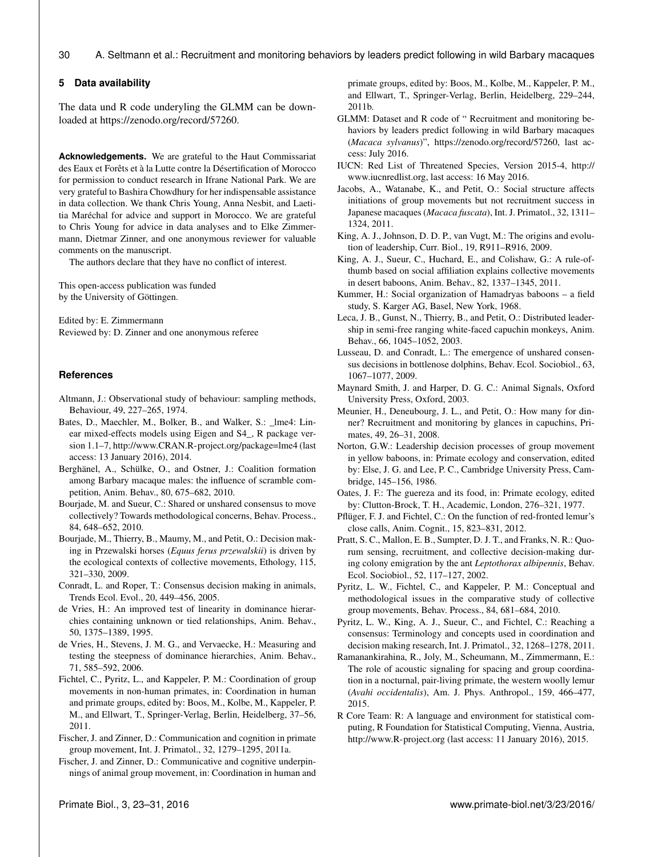#### **5 Data availability**

The data und R code underyling the GLMM can be downloaded at [https://zenodo.org/record/57260.](https://zenodo.org/record/57260)

**Acknowledgements.** We are grateful to the Haut Commissariat des Eaux et Forêts et à la Lutte contre la Désertification of Morocco for permission to conduct research in Ifrane National Park. We are very grateful to Bashira Chowdhury for her indispensable assistance in data collection. We thank Chris Young, Anna Nesbit, and Laetitia Maréchal for advice and support in Morocco. We are grateful to Chris Young for advice in data analyses and to Elke Zimmermann, Dietmar Zinner, and one anonymous reviewer for valuable comments on the manuscript.

The authors declare that they have no conflict of interest.

This open-access publication was funded by the University of Göttingen.

Edited by: E. Zimmermann Reviewed by: D. Zinner and one anonymous referee

#### **References**

- Altmann, J.: Observational study of behaviour: sampling methods, Behaviour, 49, 227–265, 1974.
- Bates, D., Maechler, M., Bolker, B., and Walker, S.: lme4: Linear mixed-effects models using Eigen and S4\_, R package version 1.1–7, <http://www.CRAN.R-project.org/package=lme4> (last access: 13 January 2016), 2014.
- Berghänel, A., Schülke, O., and Ostner, J.: Coalition formation among Barbary macaque males: the influence of scramble competition, Anim. Behav., 80, 675–682, 2010.
- Bourjade, M. and Sueur, C.: Shared or unshared consensus to move collectively? Towards methodological concerns, Behav. Process., 84, 648–652, 2010.
- Bourjade, M., Thierry, B., Maumy, M., and Petit, O.: Decision making in Przewalski horses (*Equus ferus przewalskii*) is driven by the ecological contexts of collective movements, Ethology, 115, 321–330, 2009.
- Conradt, L. and Roper, T.: Consensus decision making in animals, Trends Ecol. Evol., 20, 449–456, 2005.
- de Vries, H.: An improved test of linearity in dominance hierarchies containing unknown or tied relationships, Anim. Behav., 50, 1375–1389, 1995.
- de Vries, H., Stevens, J. M. G., and Vervaecke, H.: Measuring and testing the steepness of dominance hierarchies, Anim. Behav., 71, 585–592, 2006.
- Fichtel, C., Pyritz, L., and Kappeler, P. M.: Coordination of group movements in non-human primates, in: Coordination in human and primate groups, edited by: Boos, M., Kolbe, M., Kappeler, P. M., and Ellwart, T., Springer-Verlag, Berlin, Heidelberg, 37–56, 2011.
- Fischer, J. and Zinner, D.: Communication and cognition in primate group movement, Int. J. Primatol., 32, 1279–1295, 2011a.
- Fischer, J. and Zinner, D.: Communicative and cognitive underpinnings of animal group movement, in: Coordination in human and

primate groups, edited by: Boos, M., Kolbe, M., Kappeler, P. M., and Ellwart, T., Springer-Verlag, Berlin, Heidelberg, 229–244, 2011b.

- GLMM: Dataset and R code of " Recruitment and monitoring behaviors by leaders predict following in wild Barbary macaques (*Macaca sylvanus*)", [https://zenodo.org/record/57260,](https://zenodo.org/record/57260) last access: July 2016.
- IUCN: Red List of Threatened Species, Version 2015-4, [http://](http://www.iucnredlist.org) [www.iucnredlist.org,](http://www.iucnredlist.org) last access: 16 May 2016.
- Jacobs, A., Watanabe, K., and Petit, O.: Social structure affects initiations of group movements but not recruitment success in Japanese macaques (*Macaca fuscata*), Int. J. Primatol., 32, 1311– 1324, 2011.
- King, A. J., Johnson, D. D. P., van Vugt, M.: The origins and evolution of leadership, Curr. Biol., 19, R911–R916, 2009.
- King, A. J., Sueur, C., Huchard, E., and Colishaw, G.: A rule-ofthumb based on social affiliation explains collective movements in desert baboons, Anim. Behav., 82, 1337–1345, 2011.
- Kummer, H.: Social organization of Hamadryas baboons a field study, S. Karger AG, Basel, New York, 1968.
- Leca, J. B., Gunst, N., Thierry, B., and Petit, O.: Distributed leadership in semi-free ranging white-faced capuchin monkeys, Anim. Behav., 66, 1045–1052, 2003.
- Lusseau, D. and Conradt, L.: The emergence of unshared consensus decisions in bottlenose dolphins, Behav. Ecol. Sociobiol., 63, 1067–1077, 2009.
- Maynard Smith, J. and Harper, D. G. C.: Animal Signals, Oxford University Press, Oxford, 2003.
- Meunier, H., Deneubourg, J. L., and Petit, O.: How many for dinner? Recruitment and monitoring by glances in capuchins, Primates, 49, 26–31, 2008.
- Norton, G.W.: Leadership decision processes of group movement in yellow baboons, in: Primate ecology and conservation, edited by: Else, J. G. and Lee, P. C., Cambridge University Press, Cambridge, 145–156, 1986.
- Oates, J. F.: The guereza and its food, in: Primate ecology, edited by: Clutton-Brock, T. H., Academic, London, 276–321, 1977.
- Pflüger, F. J. and Fichtel, C.: On the function of red-fronted lemur's close calls, Anim. Cognit., 15, 823–831, 2012.
- Pratt, S. C., Mallon, E. B., Sumpter, D. J. T., and Franks, N. R.: Quorum sensing, recruitment, and collective decision-making during colony emigration by the ant *Leptothorax albipennis*, Behav. Ecol. Sociobiol., 52, 117–127, 2002.
- Pyritz, L. W., Fichtel, C., and Kappeler, P. M.: Conceptual and methodological issues in the comparative study of collective group movements, Behav. Process., 84, 681–684, 2010.
- Pyritz, L. W., King, A. J., Sueur, C., and Fichtel, C.: Reaching a consensus: Terminology and concepts used in coordination and decision making research, Int. J. Primatol., 32, 1268–1278, 2011.
- Ramanankirahina, R., Joly, M., Scheumann, M., Zimmermann, E.: The role of acoustic signaling for spacing and group coordination in a nocturnal, pair-living primate, the western woolly lemur (*Avahi occidentalis*), Am. J. Phys. Anthropol., 159, 466–477, 2015.
- R Core Team: R: A language and environment for statistical computing, R Foundation for Statistical Computing, Vienna, Austria, <http://www.R-project.org> (last access: 11 January 2016), 2015.